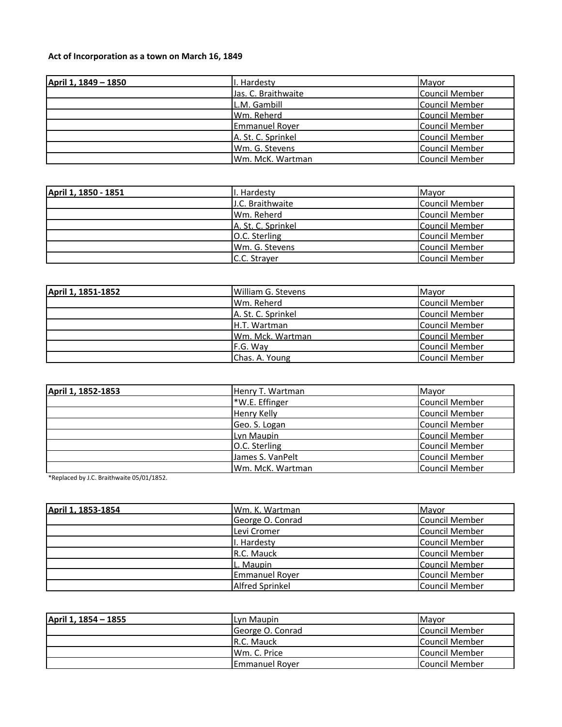## **Act of Incorporation as a town on March 16, 1849**

| April 1, 1849 - 1850 | I. Hardesty           | Mayor                 |
|----------------------|-----------------------|-----------------------|
|                      | Jas. C. Braithwaite   | Council Member        |
|                      | L.M. Gambill          | <b>Council Member</b> |
|                      | Wm. Reherd            | Council Member        |
|                      | <b>Emmanuel Royer</b> | <b>Council Member</b> |
|                      | A. St. C. Sprinkel    | Council Member        |
|                      | Wm. G. Stevens        | Council Member        |
|                      | Wm. McK. Wartman      | Council Member        |

| April 1, 1850 - 1851 | I. Hardesty             | Mayor          |
|----------------------|-------------------------|----------------|
|                      | <b>J.C. Braithwaite</b> | Council Member |
|                      | Wm. Reherd              | Council Member |
|                      | IA. St. C. Sprinkel     | Council Member |
|                      | O.C. Sterling           | Council Member |
|                      | Wm. G. Stevens          | Council Member |
|                      | C.C. Straver            | Council Member |

| April 1, 1851-1852 | William G. Stevens | Mayor                 |
|--------------------|--------------------|-----------------------|
|                    | Wm. Reherd         | Council Member        |
|                    | A. St. C. Sprinkel | Council Member        |
|                    | H.T. Wartman       | <b>Council Member</b> |
|                    | Wm. Mck. Wartman   | <b>Council Member</b> |
|                    | F.G. Way           | Council Member        |
|                    | Chas. A. Young     | Council Member        |

| April 1, 1852-1853 | Henry T. Wartman | Mayor                 |
|--------------------|------------------|-----------------------|
|                    | *W.E. Effinger   | Council Member        |
|                    | Henry Kelly      | <b>Council Member</b> |
|                    | Geo. S. Logan    | <b>Council Member</b> |
|                    | Lyn Maupin       | <b>Council Member</b> |
|                    | O.C. Sterling    | Council Member        |
|                    | James S. VanPelt | <b>Council Member</b> |
|                    | Wm. McK. Wartman | Council Member        |

\*Replaced by J.C. Braithwaite 05/01/1852.

| April 1, 1853-1854 | Wm. K. Wartman         | Mavor                 |
|--------------------|------------------------|-----------------------|
|                    | George O. Conrad       | <b>Council Member</b> |
|                    | Levi Cromer            | Council Member        |
|                    | I. Hardesty            | <b>Council Member</b> |
|                    | R.C. Mauck             | <b>Council Member</b> |
|                    | L. Maupin              | <b>Council Member</b> |
|                    | <b>Emmanuel Royer</b>  | Council Member        |
|                    | <b>Alfred Sprinkel</b> | <b>Council Member</b> |

| April 1, 1854 - 1855 | Lyn Maupin            | <b>Mavor</b>           |
|----------------------|-----------------------|------------------------|
|                      | George O. Conrad      | Council Member         |
|                      | IR.C. Mauck           | <b>ICouncil Member</b> |
|                      | Wm. C. Price          | Council Member         |
|                      | <b>Emmanuel Rover</b> | Council Member         |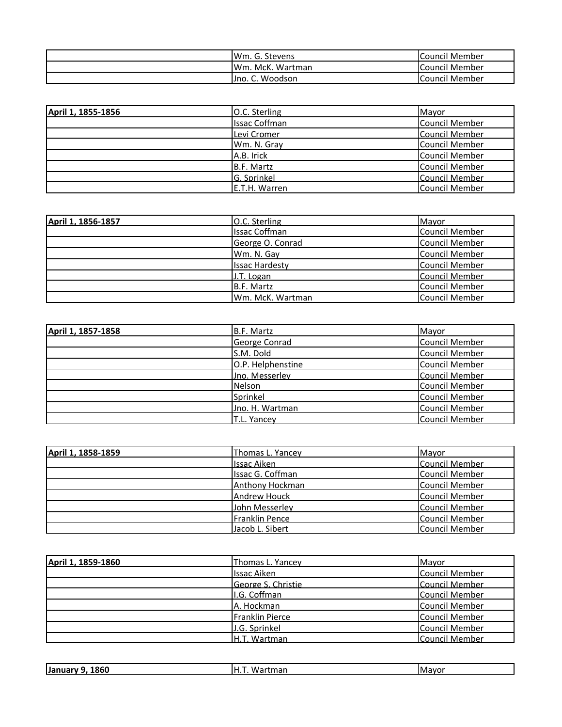| <b>IWm. G. Stevens</b> | Council Member        |
|------------------------|-----------------------|
| IWm. McK. Wartman      | <b>Council Member</b> |
| . C. Woodson<br>Uno.   | Council Member        |

| April 1, 1855-1856 | O.C. Sterling        | Mayor                 |
|--------------------|----------------------|-----------------------|
|                    | <b>Issac Coffman</b> | <b>Council Member</b> |
|                    | Levi Cromer          | Council Member        |
|                    | Wm. N. Gray          | Council Member        |
|                    | A.B. Irick           | Council Member        |
|                    | B.F. Martz           | <b>Council Member</b> |
|                    | G. Sprinkel          | Council Member        |
|                    | E.T.H. Warren        | Council Member        |

| April 1, 1856-1857 | O.C. Sterling         | Mayor                 |
|--------------------|-----------------------|-----------------------|
|                    | <b>Issac Coffman</b>  | Council Member        |
|                    | George O. Conrad      | <b>Council Member</b> |
|                    | Wm. N. Gay            | <b>Council Member</b> |
|                    | <b>Issac Hardesty</b> | <b>Council Member</b> |
|                    | J.T. Logan            | <b>Council Member</b> |
|                    | B.F. Martz            | Council Member        |
|                    | lWm. McK. Wartman     | Council Member        |

| April 1, 1857-1858 | <b>B.F. Martz</b> | Mayor                 |
|--------------------|-------------------|-----------------------|
|                    | George Conrad     | <b>Council Member</b> |
|                    | S.M. Dold         | <b>Council Member</b> |
|                    | O.P. Helphenstine | <b>Council Member</b> |
|                    | Jno. Messerley    | <b>Council Member</b> |
|                    | <b>Nelson</b>     | Council Member        |
|                    | Sprinkel          | Council Member        |
|                    | Jno. H. Wartman   | <b>Council Member</b> |
|                    | T.L. Yancey       | <b>Council Member</b> |

| April 1, 1858-1859 | Thomas L. Yancey    | Mayor                 |
|--------------------|---------------------|-----------------------|
|                    | <b>Issac Aiken</b>  | Council Member        |
|                    | Issac G. Coffman    | Council Member        |
|                    | Anthony Hockman     | <b>Council Member</b> |
|                    | <b>Andrew Houck</b> | <b>Council Member</b> |
|                    | John Messerley      | Council Member        |
|                    | Franklin Pence      | Council Member        |
|                    | Jacob L. Sibert     | Council Member        |

| April 1, 1859-1860 | Thomas L. Yancey   | Mayor                 |
|--------------------|--------------------|-----------------------|
|                    | <b>Issac Aiken</b> | <b>Council Member</b> |
|                    | George S. Christie | <b>Council Member</b> |
|                    | I.G. Coffman       | Council Member        |
|                    | A. Hockman         | <b>Council Member</b> |
|                    | Franklin Pierce    | Council Member        |
|                    | J.G. Sprinkel      | Council Member        |
|                    | H.T. Wartman       | Council Member        |

| 1860<br><b>Janua</b> | н<br>$\mathbf{u}$<br>. | uMayor |
|----------------------|------------------------|--------|
|                      |                        |        |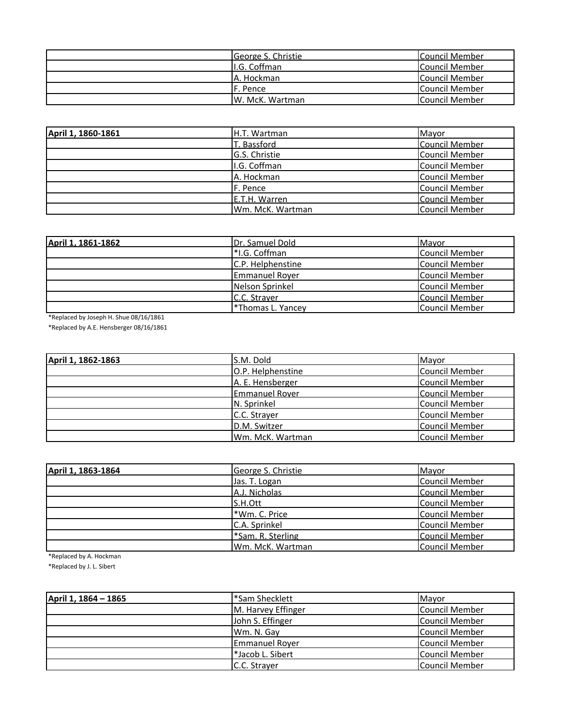| George S. Christie | Council Member |
|--------------------|----------------|
| II.G. Coffman      | Council Member |
| IA. Hockman        | Council Member |
| IF. Pence          | Council Member |
| W. McK. Wartman    | Council Member |

| April 1, 1860-1861 | <b>H.T. Wartman</b> | Mayor                 |
|--------------------|---------------------|-----------------------|
|                    | T. Bassford         | <b>Council Member</b> |
|                    | G.S. Christie       | Council Member        |
|                    | I.G. Coffman        | Council Member        |
|                    | A. Hockman          | <b>Council Member</b> |
|                    | F. Pence            | <b>Council Member</b> |
|                    | E.T.H. Warren       | Council Member        |
|                    | Wm. McK. Wartman    | Council Member        |

| April 1, 1861-1862 | Dr. Samuel Dold         | <b>Mavor</b>          |
|--------------------|-------------------------|-----------------------|
|                    | *I.G. Coffman           | Council Member        |
|                    | C.P. Helphenstine       | <b>Council Member</b> |
|                    | <b>Emmanuel Royer</b>   | <b>Council Member</b> |
|                    | Nelson Sprinkel         | <b>Council Member</b> |
|                    | C.C. Straver            | <b>Council Member</b> |
|                    | <b>Thomas L. Yancey</b> | Council Member        |

\*Replaced by Joseph H. Shue 08/16/1861

\*Replaced by A.E. Hensberger 08/16/1861

| April 1, 1862-1863 | S.M. Dold             | Mayor                 |
|--------------------|-----------------------|-----------------------|
|                    | O.P. Helphenstine     | Council Member        |
|                    | A. E. Hensberger      | Council Member        |
|                    | <b>Emmanuel Rover</b> | <b>Council Member</b> |
|                    | N. Sprinkel           | Council Member        |
|                    | C.C. Strayer          | <b>Council Member</b> |
|                    | D.M. Switzer          | Council Member        |
|                    | Wm. McK. Wartman      | Council Member        |

| April 1, 1863-1864 | George S. Christie | Mayor                 |
|--------------------|--------------------|-----------------------|
|                    | Jas. T. Logan      | Council Member        |
|                    | A.J. Nicholas      | Council Member        |
|                    | S.H.Ott            | Council Member        |
|                    | *Wm. C. Price      | <b>Council Member</b> |
|                    | C.A. Sprinkel      | Council Member        |
|                    | *Sam. R. Sterling  | <b>Council Member</b> |
|                    | Wm. McK. Wartman   | <b>Council Member</b> |

\*Replaced by A. Hockman

\*Replaced by J. L. Sibert

| April 1, 1864 – 1865 | l*Sam Shecklett       | Mayor          |
|----------------------|-----------------------|----------------|
|                      | M. Harvey Effinger    | Council Member |
|                      | John S. Effinger      | Council Member |
|                      | Wm. N. Gay            | Council Member |
|                      | <b>Emmanuel Royer</b> | Council Member |
|                      | l*Jacob L. Sibert     | Council Member |
|                      | C.C. Strayer          | Council Member |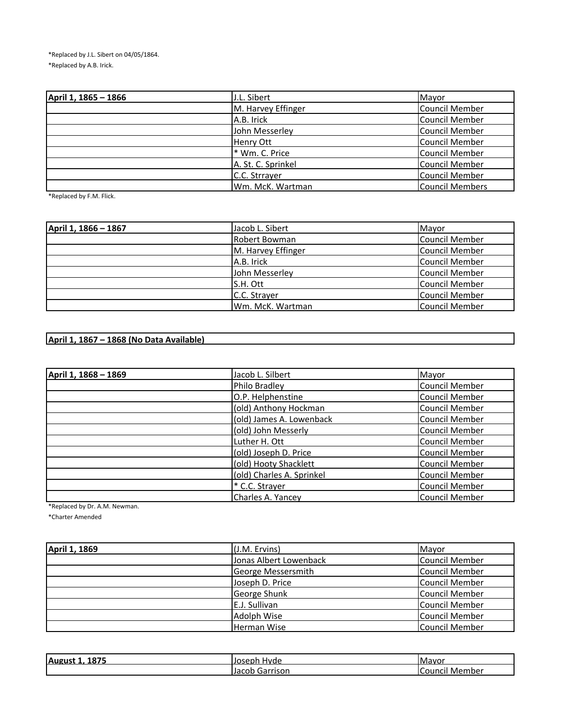\*Replaced by J.L. Sibert on 04/05/1864. \*Replaced by A.B. Irick.

| April 1, 1865 - 1866 | J.L. Sibert        | Mayor                  |
|----------------------|--------------------|------------------------|
|                      | M. Harvey Effinger | Council Member         |
|                      | A.B. Irick         | <b>Council Member</b>  |
|                      | John Messerley     | <b>Council Member</b>  |
|                      | <b>Henry Ott</b>   | <b>Council Member</b>  |
|                      | * Wm. C. Price     | <b>Council Member</b>  |
|                      | A. St. C. Sprinkel | <b>Council Member</b>  |
|                      | C.C. Strrayer      | <b>Council Member</b>  |
|                      | Wm. McK. Wartman   | <b>Council Members</b> |

\*Replaced by F.M. Flick.

| April 1, 1866 - 1867 | Jacob L. Sibert    | Mayor                 |
|----------------------|--------------------|-----------------------|
|                      | Robert Bowman      | Council Member        |
|                      | M. Harvey Effinger | Council Member        |
|                      | A.B. Irick         | Council Member        |
|                      | John Messerley     | <b>Council Member</b> |
|                      | S.H. Ott           | <b>Council Member</b> |
|                      | C.C. Strayer       | Council Member        |
|                      | Wm. McK. Wartman   | Council Member        |

## **April 1, 1867 – 1868 (No Data Available)**

| April 1, 1868 - 1869 | Jacob L. Silbert          | Mayor                 |
|----------------------|---------------------------|-----------------------|
|                      | Philo Bradley             | <b>Council Member</b> |
|                      | O.P. Helphenstine         | <b>Council Member</b> |
|                      | (old) Anthony Hockman     | <b>Council Member</b> |
|                      | (old) James A. Lowenback  | <b>Council Member</b> |
|                      | (old) John Messerly       | <b>Council Member</b> |
|                      | Luther H. Ott             | <b>Council Member</b> |
|                      | (old) Joseph D. Price     | Council Member        |
|                      | (old) Hooty Shacklett     | <b>Council Member</b> |
|                      | (old) Charles A. Sprinkel | <b>Council Member</b> |
|                      | * C.C. Strayer            | <b>Council Member</b> |
|                      | Charles A. Yancey         | <b>Council Member</b> |

\*Replaced by Dr. A.M. Newman.

\*Charter Amended

| April 1, 1869 | (J.M. Ervins)          | Mayor                 |
|---------------|------------------------|-----------------------|
|               | Jonas Albert Lowenback | Council Member        |
|               | George Messersmith     | Council Member        |
|               | Joseph D. Price        | <b>Council Member</b> |
|               | George Shunk           | <b>Council Member</b> |
|               | E.J. Sullivan          | Council Member        |
|               | Adolph Wise            | <b>Council Member</b> |
|               | <b>Herman Wise</b>     | <b>Council Member</b> |

| 1875<br><b>August</b> | iJoseph<br>Hvde           | <b>I</b> Mavor    |
|-----------------------|---------------------------|-------------------|
|                       | Jacob<br>iarrison<br>uarr | Member<br>Council |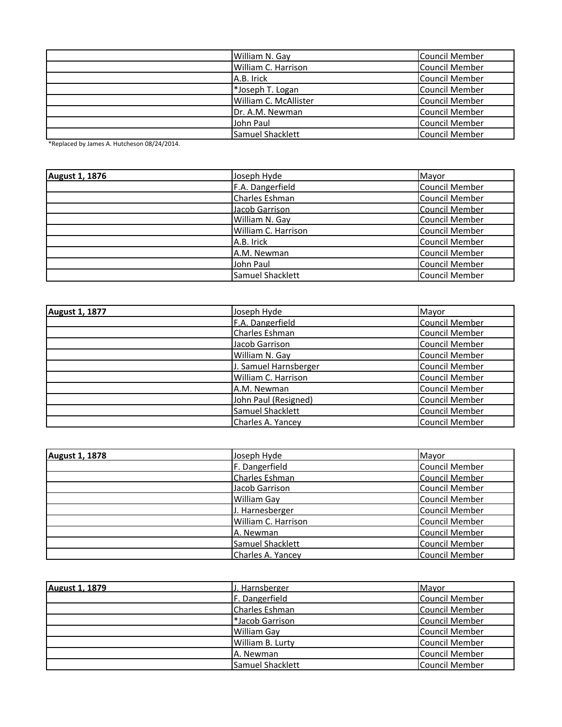| William N. Gay        | <b>Council Member</b> |
|-----------------------|-----------------------|
| William C. Harrison   | <b>Council Member</b> |
| A.B. Irick            | Council Member        |
| *Joseph T. Logan      | Council Member        |
| William C. McAllister | Council Member        |
| Dr. A.M. Newman       | Council Member        |
| John Paul             | Council Member        |
| Samuel Shacklett      | Council Member        |

\*Replaced by James A. Hutcheson 08/24/2014.

| <b>August 1, 1876</b> | Joseph Hyde         | Mayor                 |
|-----------------------|---------------------|-----------------------|
|                       | F.A. Dangerfield    | <b>Council Member</b> |
|                       | Charles Eshman      | <b>Council Member</b> |
|                       | Jacob Garrison      | <b>Council Member</b> |
|                       | William N. Gay      | <b>Council Member</b> |
|                       | William C. Harrison | <b>Council Member</b> |
|                       | A.B. Irick          | <b>Council Member</b> |
|                       | A.M. Newman         | <b>Council Member</b> |
|                       | John Paul           | <b>Council Member</b> |
|                       | Samuel Shacklett    | Council Member        |

| <b>August 1, 1877</b> | Joseph Hyde           | Mayor                 |
|-----------------------|-----------------------|-----------------------|
|                       | F.A. Dangerfield      | Council Member        |
|                       | Charles Eshman        | <b>Council Member</b> |
|                       | Jacob Garrison        | <b>Council Member</b> |
|                       | William N. Gay        | <b>Council Member</b> |
|                       | J. Samuel Harnsberger | <b>Council Member</b> |
|                       | William C. Harrison   | <b>Council Member</b> |
|                       | A.M. Newman           | <b>Council Member</b> |
|                       | John Paul (Resigned)  | <b>Council Member</b> |
|                       | Samuel Shacklett      | <b>Council Member</b> |
|                       | Charles A. Yancey     | <b>Council Member</b> |

| <b>August 1, 1878</b> | Joseph Hyde           | Mayor                 |
|-----------------------|-----------------------|-----------------------|
|                       | F. Dangerfield        | <b>Council Member</b> |
|                       | <b>Charles Eshman</b> | Council Member        |
|                       | Jacob Garrison        | <b>Council Member</b> |
|                       | <b>William Gay</b>    | <b>Council Member</b> |
|                       | J. Harnesberger       | <b>Council Member</b> |
|                       | William C. Harrison   | Council Member        |
|                       | A. Newman             | <b>Council Member</b> |
|                       | Samuel Shacklett      | <b>Council Member</b> |
|                       | Charles A. Yancey     | <b>Council Member</b> |

| <b>August 1, 1879</b> | J. Harnsberger   | Mavor                 |
|-----------------------|------------------|-----------------------|
|                       | F. Dangerfield   | Council Member        |
|                       | Charles Eshman   | <b>Council Member</b> |
|                       | *Jacob Garrison  | <b>Council Member</b> |
|                       | William Gay      | Council Member        |
|                       | William B. Lurty | Council Member        |
|                       | A. Newman        | Council Member        |
|                       | Samuel Shacklett | <b>Council Member</b> |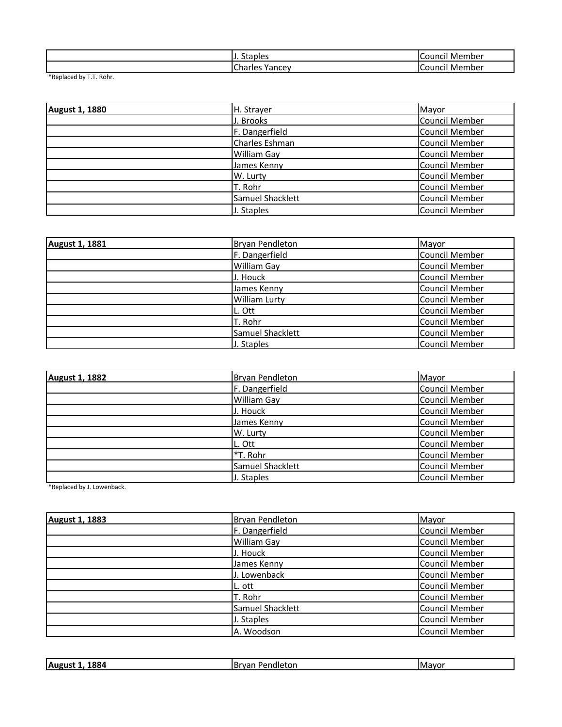| <b>Staples</b> | . Member       |
|----------------|----------------|
|                | <b>Council</b> |
| Charles        | . Member       |
| Yancev         | <b>Council</b> |

\*Replaced by T.T. Rohr.

| <b>August 1, 1880</b> | H. Strayer         | Mayor                 |
|-----------------------|--------------------|-----------------------|
|                       | J. Brooks          | Council Member        |
|                       | F. Dangerfield     | <b>Council Member</b> |
|                       | Charles Eshman     | <b>Council Member</b> |
|                       | <b>William Gay</b> | <b>Council Member</b> |
|                       | James Kenny        | <b>Council Member</b> |
|                       | W. Lurty           | <b>Council Member</b> |
|                       | T. Rohr            | <b>Council Member</b> |
|                       | Samuel Shacklett   | <b>Council Member</b> |
|                       | J. Staples         | <b>Council Member</b> |

| August 1, 1881 | Bryan Pendleton      | Mayor                 |
|----------------|----------------------|-----------------------|
|                | F. Dangerfield       | <b>Council Member</b> |
|                | <b>William Gay</b>   | <b>Council Member</b> |
|                | J. Houck             | <b>Council Member</b> |
|                | James Kenny          | Council Member        |
|                | <b>William Lurty</b> | <b>Council Member</b> |
|                | L. Ott               | <b>Council Member</b> |
|                | T. Rohr              | <b>Council Member</b> |
|                | Samuel Shacklett     | <b>Council Member</b> |
|                | J. Staples           | <b>Council Member</b> |

| <b>August 1, 1882</b> | <b>Bryan Pendleton</b> | Mayor                 |
|-----------------------|------------------------|-----------------------|
|                       | F. Dangerfield         | Council Member        |
|                       | <b>William Gay</b>     | Council Member        |
|                       | J. Houck               | <b>Council Member</b> |
|                       | James Kenny            | Council Member        |
|                       | W. Lurty               | Council Member        |
|                       | L. Ott                 | Council Member        |
|                       | *T. Rohr               | Council Member        |
|                       | Samuel Shacklett       | <b>Council Member</b> |
|                       | J. Staples             | <b>Council Member</b> |

\*Replaced by J. Lowenback.

| <b>August 1, 1883</b> | <b>Bryan Pendleton</b> | Mayor                 |
|-----------------------|------------------------|-----------------------|
|                       | F. Dangerfield         | <b>Council Member</b> |
|                       | William Gay            | <b>Council Member</b> |
|                       | J. Houck               | <b>Council Member</b> |
|                       | James Kenny            | <b>Council Member</b> |
|                       | J. Lowenback           | <b>Council Member</b> |
|                       | L. ott                 | <b>Council Member</b> |
|                       | T. Rohr                | <b>Council Member</b> |
|                       | Samuel Shacklett       | <b>Council Member</b> |
|                       | J. Staples             | <b>Council Member</b> |
|                       | A. Woodson             | <b>Council Member</b> |

| 004<br>Aug<br>884 | .Br<br>τon<br>. | - iMave |
|-------------------|-----------------|---------|
|                   |                 |         |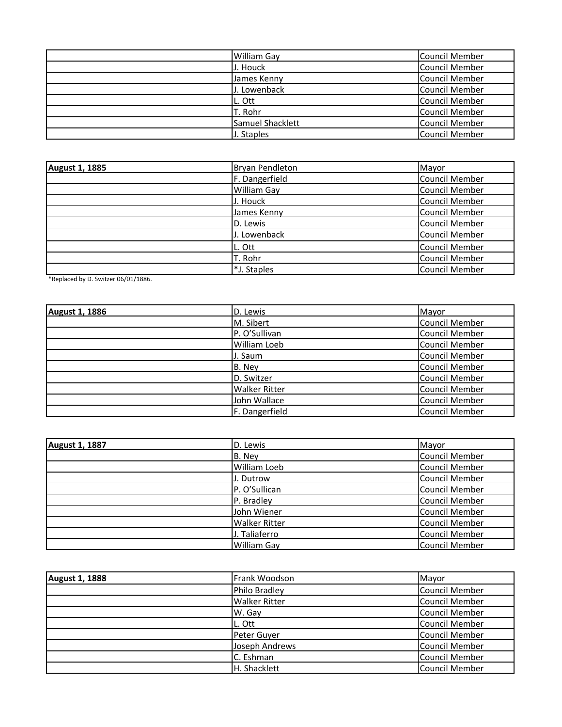| <b>William Gay</b> | <b>Council Member</b> |
|--------------------|-----------------------|
| J. Houck           | <b>Council Member</b> |
| James Kenny        | Council Member        |
| J. Lowenback       | Council Member        |
| L. Ott             | <b>Council Member</b> |
| T. Rohr            | <b>Council Member</b> |
| Samuel Shacklett   | Council Member        |
| J. Staples         | Council Member        |

| <b>August 1, 1885</b> | Bryan Pendleton    | Mayor                 |
|-----------------------|--------------------|-----------------------|
|                       | F. Dangerfield     | Council Member        |
|                       | <b>William Gay</b> | <b>Council Member</b> |
|                       | J. Houck           | Council Member        |
|                       | James Kenny        | Council Member        |
|                       | D. Lewis           | Council Member        |
|                       | J. Lowenback       | Council Member        |
|                       | L. Ott             | Council Member        |
|                       | T. Rohr            | <b>Council Member</b> |
|                       | *J. Staples        | <b>Council Member</b> |

\*Replaced by D. Switzer 06/01/1886.

| August 1, 1886 | D. Lewis             | Mayor                 |
|----------------|----------------------|-----------------------|
|                | M. Sibert            | Council Member        |
|                | P. O'Sullivan        | Council Member        |
|                | William Loeb         | Council Member        |
|                | J. Saum              | Council Member        |
|                | B. Ney               | Council Member        |
|                | D. Switzer           | Council Member        |
|                | <b>Walker Ritter</b> | Council Member        |
|                | John Wallace         | <b>Council Member</b> |
|                | F. Dangerfield       | Council Member        |

| <b>August 1, 1887</b> | D. Lewis             | Mayor                 |
|-----------------------|----------------------|-----------------------|
|                       | B. Ney               | <b>Council Member</b> |
|                       | William Loeb         | <b>Council Member</b> |
|                       | J. Dutrow            | Council Member        |
|                       | P. O'Sullican        | Council Member        |
|                       | P. Bradley           | <b>Council Member</b> |
|                       | John Wiener          | <b>Council Member</b> |
|                       | <b>Walker Ritter</b> | <b>Council Member</b> |
|                       | J. Taliaferro        | <b>Council Member</b> |
|                       | <b>William Gay</b>   | Council Member        |

| <b>August 1, 1888</b> | Frank Woodson        | Mayor                 |
|-----------------------|----------------------|-----------------------|
|                       | Philo Bradley        | <b>Council Member</b> |
|                       | <b>Walker Ritter</b> | <b>Council Member</b> |
|                       | W. Gay               | <b>Council Member</b> |
|                       | L. Ott               | Council Member        |
|                       | Peter Guyer          | <b>Council Member</b> |
|                       | Joseph Andrews       | Council Member        |
|                       | C. Eshman            | Council Member        |
|                       | H. Shacklett         | Council Member        |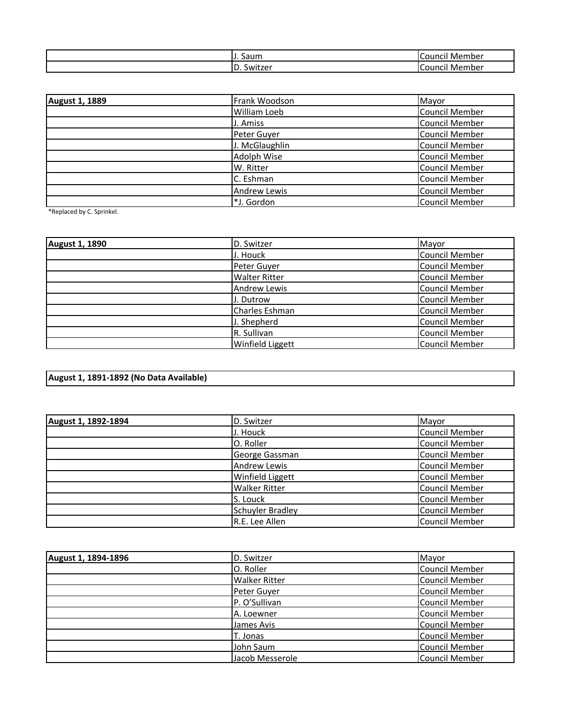| Saum            | Member<br><b>Counci</b>      |
|-----------------|------------------------------|
| ∍<br>D. Switzer | Member<br>Counc <sup>.</sup> |

| <b>August 1, 1889</b> | Frank Woodson       | Mayor                 |
|-----------------------|---------------------|-----------------------|
|                       | <b>William Loeb</b> | <b>Council Member</b> |
|                       | J. Amiss            | <b>Council Member</b> |
|                       | Peter Guyer         | <b>Council Member</b> |
|                       | J. McGlaughlin      | <b>Council Member</b> |
|                       | Adolph Wise         | <b>Council Member</b> |
|                       | W. Ritter           | <b>Council Member</b> |
|                       | C. Eshman           | <b>Council Member</b> |
|                       | <b>Andrew Lewis</b> | <b>Council Member</b> |
|                       | *J. Gordon          | <b>Council Member</b> |

\*Replaced by C. Sprinkel.

| <b>August 1, 1890</b> | D. Switzer              | Mayor                 |
|-----------------------|-------------------------|-----------------------|
|                       | J. Houck                | <b>Council Member</b> |
|                       | Peter Guyer             | <b>Council Member</b> |
|                       | <b>Walter Ritter</b>    | <b>Council Member</b> |
|                       | <b>Andrew Lewis</b>     | <b>Council Member</b> |
|                       | J. Dutrow               | <b>Council Member</b> |
|                       | Charles Eshman          | <b>Council Member</b> |
|                       | J. Shepherd             | <b>Council Member</b> |
|                       | R. Sullivan             | Council Member        |
|                       | <b>Winfield Liggett</b> | Council Member        |

## **August 1, 1891-1892 (No Data Available)**

| August 1, 1892-1894 | D. Switzer              | Mayor                 |
|---------------------|-------------------------|-----------------------|
|                     | J. Houck                | <b>Council Member</b> |
|                     | O. Roller               | Council Member        |
|                     | George Gassman          | Council Member        |
|                     | <b>Andrew Lewis</b>     | Council Member        |
|                     | <b>Winfield Liggett</b> | Council Member        |
|                     | <b>Walker Ritter</b>    | Council Member        |
|                     | S. Louck                | <b>Council Member</b> |
|                     | <b>Schuyler Bradley</b> | Council Member        |
|                     | R.E. Lee Allen          | <b>Council Member</b> |

| August 1, 1894-1896 | D. Switzer           | Mayor                 |
|---------------------|----------------------|-----------------------|
|                     | O. Roller            | <b>Council Member</b> |
|                     | <b>Walker Ritter</b> | Council Member        |
|                     | Peter Guyer          | <b>Council Member</b> |
|                     | P. O'Sullivan        | <b>Council Member</b> |
|                     | A. Loewner           | Council Member        |
|                     | James Avis           | Council Member        |
|                     | T. Jonas             | Council Member        |
|                     | John Saum            | <b>Council Member</b> |
|                     | Jacob Messerole      | Council Member        |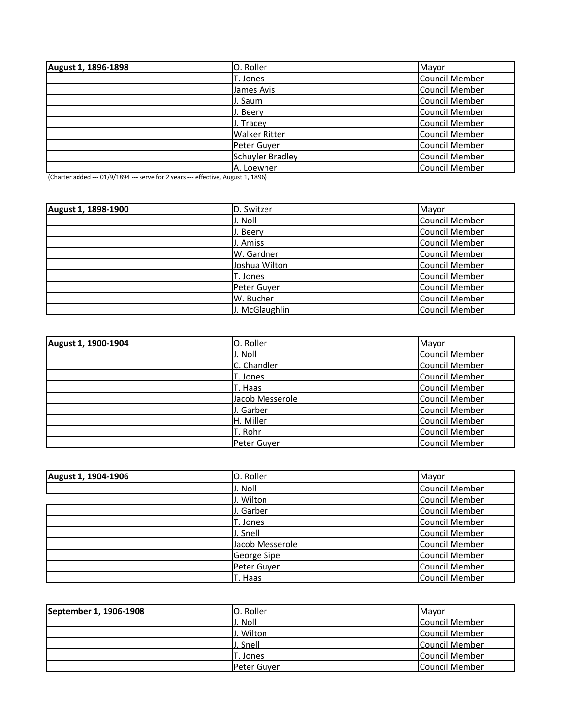| August 1, 1896-1898 | O. Roller            | Mayor                 |
|---------------------|----------------------|-----------------------|
|                     | T. Jones             | Council Member        |
|                     | James Avis           | Council Member        |
|                     | J. Saum              | Council Member        |
|                     | J. Beery             | Council Member        |
|                     | J. Tracey            | Council Member        |
|                     | <b>Walker Ritter</b> | Council Member        |
|                     | Peter Guyer          | Council Member        |
|                     | Schuyler Bradley     | Council Member        |
|                     | A. Loewner           | <b>Council Member</b> |

(Charter added --- 01/9/1894 --- serve for 2 years --- effective, August 1, 1896)

| August 1, 1898-1900 | D. Switzer     | Mayor                 |
|---------------------|----------------|-----------------------|
|                     | J. Noll        | <b>Council Member</b> |
|                     | J. Beery       | Council Member        |
|                     | J. Amiss       | Council Member        |
|                     | W. Gardner     | Council Member        |
|                     | Joshua Wilton  | Council Member        |
|                     | T. Jones       | Council Member        |
|                     | Peter Guyer    | Council Member        |
|                     | W. Bucher      | <b>Council Member</b> |
|                     | J. McGlaughlin | Council Member        |

| August 1, 1900-1904 | O. Roller       | Mayor                 |
|---------------------|-----------------|-----------------------|
|                     | J. Noll         | <b>Council Member</b> |
|                     | C. Chandler     | <b>Council Member</b> |
|                     | T. Jones        | <b>Council Member</b> |
|                     | T. Haas         | <b>Council Member</b> |
|                     | Jacob Messerole | <b>Council Member</b> |
|                     | J. Garber       | <b>Council Member</b> |
|                     | H. Miller       | <b>Council Member</b> |
|                     | T. Rohr         | <b>Council Member</b> |
|                     | Peter Guyer     | <b>Council Member</b> |

| August 1, 1904-1906 | O. Roller       | Mayor                 |
|---------------------|-----------------|-----------------------|
|                     | J. Noll         | <b>Council Member</b> |
|                     | J. Wilton       | <b>Council Member</b> |
|                     | J. Garber       | <b>Council Member</b> |
|                     | T. Jones        | <b>Council Member</b> |
|                     | J. Snell        | Council Member        |
|                     | Jacob Messerole | <b>Council Member</b> |
|                     | George Sipe     | <b>Council Member</b> |
|                     | Peter Guyer     | <b>Council Member</b> |
|                     | T. Haas         | <b>Council Member</b> |

| September 1, 1906-1908 | O. Roller          | Mayor          |
|------------------------|--------------------|----------------|
|                        | J. Noll            | Council Member |
|                        | J. Wilton          | Council Member |
|                        | J. Snell           | Council Member |
|                        | T. Jones           | Council Member |
|                        | <b>Peter Guver</b> | Council Member |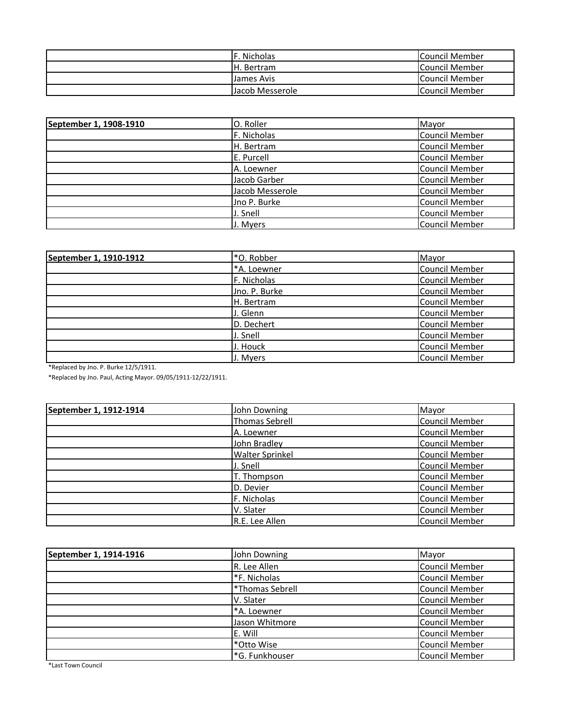| . Nicholas       | <b>Council Member</b> |
|------------------|-----------------------|
| IH. Bertram      | <b>Council Member</b> |
| Llames Avis      | <b>Council Member</b> |
| LJacob Messerole | Council Member        |

| September 1, 1908-1910 | O. Roller       | Mayor                 |
|------------------------|-----------------|-----------------------|
|                        | F. Nicholas     | Council Member        |
|                        | H. Bertram      | <b>Council Member</b> |
|                        | E. Purcell      | <b>Council Member</b> |
|                        | A. Loewner      | Council Member        |
|                        | Jacob Garber    | Council Member        |
|                        | Jacob Messerole | Council Member        |
|                        | Jno P. Burke    | Council Member        |
|                        | J. Snell        | <b>Council Member</b> |
|                        | J. Myers        | Council Member        |

| September 1, 1910-1912 | *O. Robber    | Mayor                 |
|------------------------|---------------|-----------------------|
|                        | *A. Loewner   | <b>Council Member</b> |
|                        | F. Nicholas   | <b>Council Member</b> |
|                        | Jno. P. Burke | Council Member        |
|                        | H. Bertram    | <b>Council Member</b> |
|                        | J. Glenn      | <b>Council Member</b> |
|                        | D. Dechert    | <b>Council Member</b> |
|                        | J. Snell      | <b>Council Member</b> |
|                        | J. Houck      | <b>Council Member</b> |
|                        | J. Myers      | <b>Council Member</b> |

\*Replaced by Jno. P. Burke 12/5/1911.

\*Replaced by Jno. Paul, Acting Mayor. 09/05/1911-12/22/1911.

| September 1, 1912-1914 | John Downing           | Mayor                 |
|------------------------|------------------------|-----------------------|
|                        | <b>Thomas Sebrell</b>  | Council Member        |
|                        | A. Loewner             | <b>Council Member</b> |
|                        | John Bradley           | <b>Council Member</b> |
|                        | <b>Walter Sprinkel</b> | <b>Council Member</b> |
|                        | J. Snell               | <b>Council Member</b> |
|                        | T. Thompson            | <b>Council Member</b> |
|                        | D. Devier              | Council Member        |
|                        | F. Nicholas            | Council Member        |
|                        | V. Slater              | Council Member        |
|                        | R.E. Lee Allen         | Council Member        |

| September 1, 1914-1916 | John Downing    | Mayor                 |
|------------------------|-----------------|-----------------------|
|                        | R. Lee Allen    | <b>Council Member</b> |
|                        | *F. Nicholas    | Council Member        |
|                        | *Thomas Sebrell | <b>Council Member</b> |
|                        | V. Slater       | Council Member        |
|                        | *A. Loewner     | <b>Council Member</b> |
|                        | Jason Whitmore  | Council Member        |
|                        | E. Will         | <b>Council Member</b> |
|                        | *Otto Wise      | <b>Council Member</b> |
|                        | *G. Funkhouser  | <b>Council Member</b> |

\*Last Town Council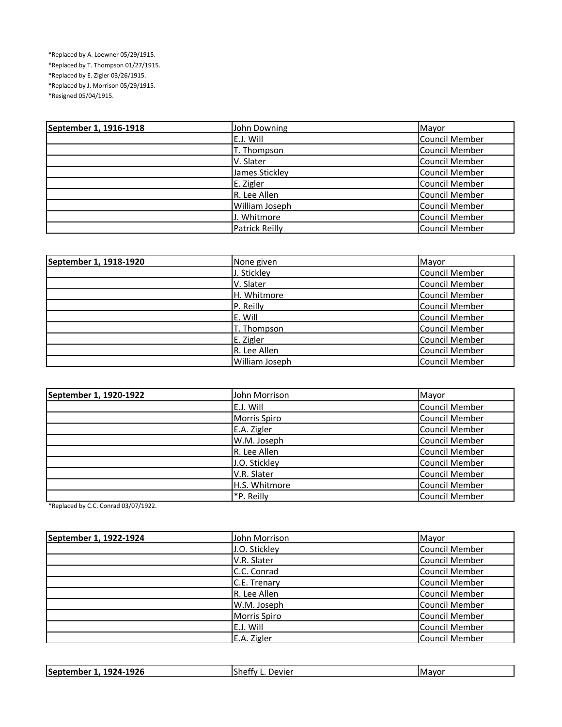\*Replaced by A. Loewner 05/29/1915. \*Replaced by T. Thompson 01/27/1915. \*Replaced by E. Zigler 03/26/1915. \*Replaced by J. Morrison 05/29/1915.

\*Resigned 05/04/1915.

| September 1, 1916-1918 | John Downing          | Mayor                 |
|------------------------|-----------------------|-----------------------|
|                        | E.J. Will             | <b>Council Member</b> |
|                        | T. Thompson           | Council Member        |
|                        | V. Slater             | <b>Council Member</b> |
|                        | James Stickley        | Council Member        |
|                        | E. Zigler             | Council Member        |
|                        | R. Lee Allen          | <b>Council Member</b> |
|                        | William Joseph        | Council Member        |
|                        | J. Whitmore           | Council Member        |
|                        | <b>Patrick Reilly</b> | Council Member        |

| September 1, 1918-1920 | None given     | Mayor                 |
|------------------------|----------------|-----------------------|
|                        | J. Stickley    | <b>Council Member</b> |
|                        | V. Slater      | <b>Council Member</b> |
|                        | H. Whitmore    | <b>Council Member</b> |
|                        | P. Reilly      | Council Member        |
|                        | E. Will        | <b>Council Member</b> |
|                        | T. Thompson    | <b>Council Member</b> |
|                        | E. Zigler      | <b>Council Member</b> |
|                        | R. Lee Allen   | <b>Council Member</b> |
|                        | William Joseph | <b>Council Member</b> |

| September 1, 1920-1922 | John Morrison | Mayor                 |
|------------------------|---------------|-----------------------|
|                        | E.J. Will     | <b>Council Member</b> |
|                        | Morris Spiro  | Council Member        |
|                        | E.A. Zigler   | Council Member        |
|                        | W.M. Joseph   | <b>Council Member</b> |
|                        | R. Lee Allen  | Council Member        |
|                        | J.O. Stickley | Council Member        |
|                        | V.R. Slater   | Council Member        |
|                        | H.S. Whitmore | <b>Council Member</b> |
|                        | *P. Reilly    | Council Member        |

\*Replaced by C.C. Conrad 03/07/1922.

| September 1, 1922-1924 | John Morrison       | Mayor                 |
|------------------------|---------------------|-----------------------|
|                        | J.O. Stickley       | <b>Council Member</b> |
|                        | V.R. Slater         | <b>Council Member</b> |
|                        | C.C. Conrad         | <b>Council Member</b> |
|                        | C.E. Trenary        | <b>Council Member</b> |
|                        | R. Lee Allen        | <b>Council Member</b> |
|                        | W.M. Joseph         | <b>Council Member</b> |
|                        | <b>Morris Spiro</b> | <b>Council Member</b> |
|                        | E.J. Will           | <b>Council Member</b> |
|                        | E.A. Zigler         | <b>Council Member</b> |

| 1926<br>September<br>974<br>Devier<br>-Mavor<br>Sheffy |
|--------------------------------------------------------|
|--------------------------------------------------------|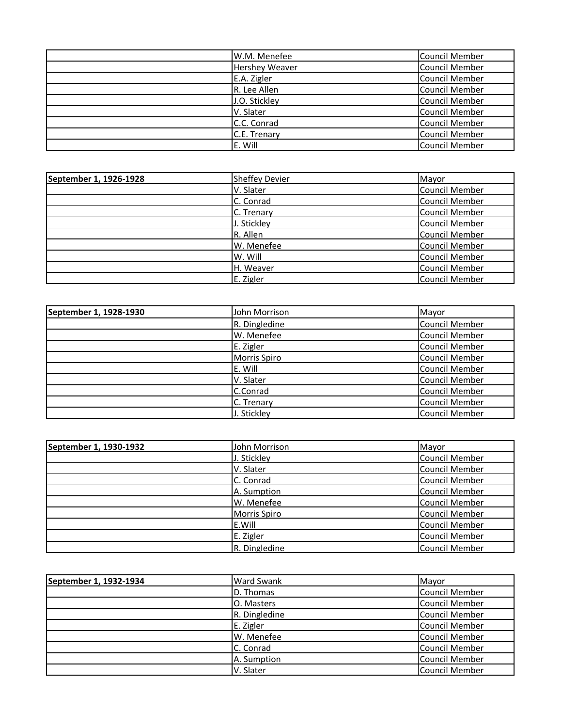| W.M. Menefee          | <b>Council Member</b> |
|-----------------------|-----------------------|
| <b>Hershey Weaver</b> | Council Member        |
| E.A. Zigler           | Council Member        |
| R. Lee Allen          | Council Member        |
| J.O. Stickley         | Council Member        |
| V. Slater             | Council Member        |
| C.C. Conrad           | Council Member        |
| C.E. Trenary          | Council Member        |
| E. Will               | Council Member        |

| September 1, 1926-1928 | <b>Sheffey Devier</b> | Mayor                 |
|------------------------|-----------------------|-----------------------|
|                        | V. Slater             | Council Member        |
|                        | C. Conrad             | Council Member        |
|                        | C. Trenary            | Council Member        |
|                        | J. Stickley           | Council Member        |
|                        | R. Allen              | Council Member        |
|                        | W. Menefee            | Council Member        |
|                        | W. Will               | Council Member        |
|                        | H. Weaver             | <b>Council Member</b> |
|                        | E. Zigler             | <b>Council Member</b> |

| September 1, 1928-1930 | John Morrison       | Mayor                 |
|------------------------|---------------------|-----------------------|
|                        | R. Dingledine       | Council Member        |
|                        | W. Menefee          | Council Member        |
|                        | E. Zigler           | <b>Council Member</b> |
|                        | <b>Morris Spiro</b> | Council Member        |
|                        | E. Will             | Council Member        |
|                        | V. Slater           | <b>Council Member</b> |
|                        | C.Conrad            | Council Member        |
|                        | C. Trenary          | <b>Council Member</b> |
|                        | J. Stickley         | Council Member        |

| September 1, 1930-1932 | John Morrison       | Mayor                 |
|------------------------|---------------------|-----------------------|
|                        | J. Stickley         | <b>Council Member</b> |
|                        | V. Slater           | <b>Council Member</b> |
|                        | C. Conrad           | Council Member        |
|                        | A. Sumption         | <b>Council Member</b> |
|                        | W. Menefee          | <b>Council Member</b> |
|                        | <b>Morris Spiro</b> | Council Member        |
|                        | E.Will              | <b>Council Member</b> |
|                        | E. Zigler           | <b>Council Member</b> |
|                        | R. Dingledine       | <b>Council Member</b> |

| September 1, 1932-1934 | <b>Ward Swank</b> | Mayor                 |
|------------------------|-------------------|-----------------------|
|                        | D. Thomas         | Council Member        |
|                        | O. Masters        | <b>Council Member</b> |
|                        | R. Dingledine     | <b>Council Member</b> |
|                        | E. Zigler         | <b>Council Member</b> |
|                        | W. Menefee        | Council Member        |
|                        | C. Conrad         | <b>Council Member</b> |
|                        | A. Sumption       | <b>Council Member</b> |
|                        | V. Slater         | Council Member        |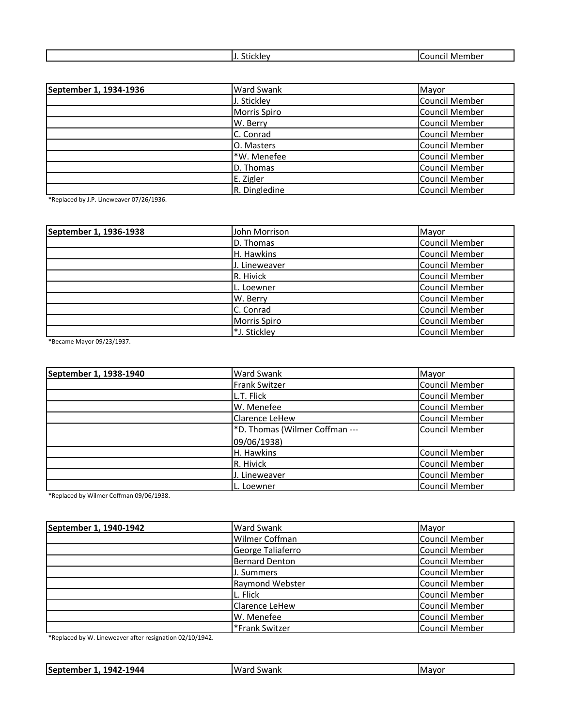| วเเบหเน | Membei<br>ΩUΓ<br>TIC. |
|---------|-----------------------|
|         |                       |
|         |                       |

| September 1, 1934-1936 | <b>Ward Swank</b> | Mayor                 |
|------------------------|-------------------|-----------------------|
|                        | J. Stickley       | <b>Council Member</b> |
|                        | Morris Spiro      | <b>Council Member</b> |
|                        | W. Berry          | <b>Council Member</b> |
|                        | C. Conrad         | Council Member        |
|                        | O. Masters        | <b>Council Member</b> |
|                        | *W. Menefee       | Council Member        |
|                        | D. Thomas         | Council Member        |
|                        | E. Zigler         | Council Member        |
|                        | R. Dingledine     | Council Member        |

\*Replaced by J.P. Lineweaver 07/26/1936.

| September 1, 1936-1938 | John Morrison | Mayor                 |
|------------------------|---------------|-----------------------|
|                        | D. Thomas     | <b>Council Member</b> |
|                        | H. Hawkins    | Council Member        |
|                        | J. Lineweaver | Council Member        |
|                        | R. Hivick     | Council Member        |
|                        | L. Loewner    | Council Member        |
|                        | W. Berry      | <b>Council Member</b> |
|                        | C. Conrad     | Council Member        |
|                        | Morris Spiro  | <b>Council Member</b> |
|                        | *J. Stickley  | Council Member        |

\*Became Mayor 09/23/1937.

| September 1, 1938-1940 | <b>Ward Swank</b>              | Mayor                 |
|------------------------|--------------------------------|-----------------------|
|                        | <b>Frank Switzer</b>           | Council Member        |
|                        | L.T. Flick                     | <b>Council Member</b> |
|                        | W. Menefee                     | <b>Council Member</b> |
|                        | <b>Clarence LeHew</b>          | <b>Council Member</b> |
|                        | *D. Thomas (Wilmer Coffman --- | <b>Council Member</b> |
|                        | 09/06/1938)                    |                       |
|                        | H. Hawkins                     | <b>Council Member</b> |
|                        | R. Hivick                      | <b>Council Member</b> |
|                        | J. Lineweaver                  | <b>Council Member</b> |
|                        | L. Loewner                     | <b>Council Member</b> |

\*Replaced by Wilmer Coffman 09/06/1938.

| September 1, 1940-1942 | <b>Ward Swank</b>      | Mayor                 |
|------------------------|------------------------|-----------------------|
|                        | Wilmer Coffman         | <b>Council Member</b> |
|                        | George Taliaferro      | Council Member        |
|                        | <b>Bernard Denton</b>  | <b>Council Member</b> |
|                        | J. Summers             | <b>Council Member</b> |
|                        | <b>Raymond Webster</b> | <b>Council Member</b> |
|                        | L. Flick               | Council Member        |
|                        | Clarence LeHew         | <b>Council Member</b> |
|                        | W. Menefee             | <b>Council Member</b> |
|                        | *Frank Switzer         | <b>Council Member</b> |

\*Replaced by W. Lineweaver after resignation 02/10/1942.

| 1944<br>04″،<br>Mayor<br>Septer <sub>s</sub><br>Swank<br>ne".<br>war<br>em.<br>--<br>– ∎⊷ |
|-------------------------------------------------------------------------------------------|
|-------------------------------------------------------------------------------------------|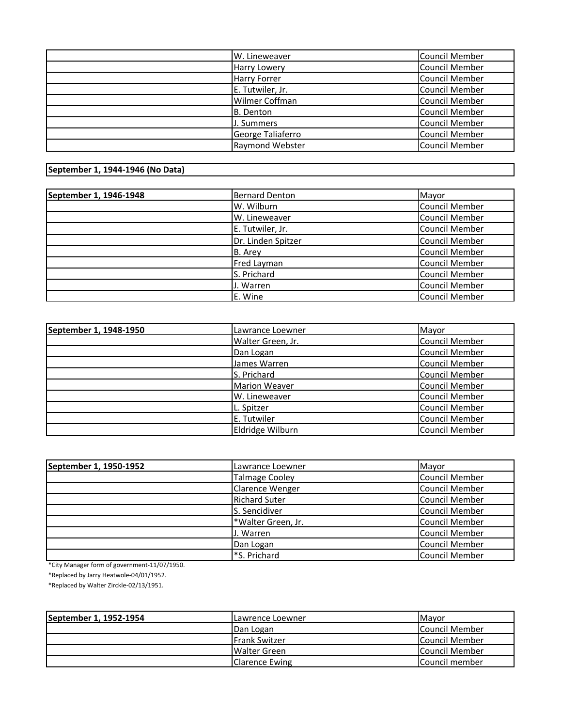| W. Lineweaver          | <b>Council Member</b> |
|------------------------|-----------------------|
| <b>Harry Lowery</b>    | Council Member        |
| <b>Harry Forrer</b>    | <b>Council Member</b> |
| E. Tutwiler, Jr.       | <b>Council Member</b> |
| Wilmer Coffman         | <b>Council Member</b> |
| B. Denton              | Council Member        |
| J. Summers             | Council Member        |
| George Taliaferro      | Council Member        |
| <b>Raymond Webster</b> | <b>Council Member</b> |

## **September 1, 1944-1946 (No Data)**

| September 1, 1946-1948 | <b>Bernard Denton</b> | Mayor                 |
|------------------------|-----------------------|-----------------------|
|                        | W. Wilburn            | <b>Council Member</b> |
|                        | W. Lineweaver         | <b>Council Member</b> |
|                        | E. Tutwiler, Jr.      | <b>Council Member</b> |
|                        | Dr. Linden Spitzer    | <b>Council Member</b> |
|                        | B. Arey               | <b>Council Member</b> |
|                        | Fred Layman           | <b>Council Member</b> |
|                        | S. Prichard           | <b>Council Member</b> |
|                        | J. Warren             | Council Member        |
|                        | E. Wine               | <b>Council Member</b> |

| September 1, 1948-1950 | Lawrance Loewner     | Mayor                 |
|------------------------|----------------------|-----------------------|
|                        | Walter Green, Jr.    | Council Member        |
|                        | Dan Logan            | Council Member        |
|                        | James Warren         | Council Member        |
|                        | S. Prichard          | Council Member        |
|                        | <b>Marion Weaver</b> | Council Member        |
|                        | W. Lineweaver        | Council Member        |
|                        | L. Spitzer           | Council Member        |
|                        | E. Tutwiler          | Council Member        |
|                        | Eldridge Wilburn     | <b>Council Member</b> |

| September 1, 1950-1952 | Lawrance Loewner       | Mayor                 |
|------------------------|------------------------|-----------------------|
|                        | <b>Talmage Cooley</b>  | <b>Council Member</b> |
|                        | <b>Clarence Wenger</b> | <b>Council Member</b> |
|                        | <b>Richard Suter</b>   | <b>Council Member</b> |
|                        | S. Sencidiver          | Council Member        |
|                        | *Walter Green, Jr.     | Council Member        |
|                        | J. Warren              | <b>Council Member</b> |
|                        | Dan Logan              | Council Member        |
|                        | *S. Prichard           | Council Member        |

\*City Manager form of government-11/07/1950.

\*Replaced by Jarry Heatwole-04/01/1952.

\*Replaced by Walter Zirckle-02/13/1951.

| September 1, 1952-1954 | ILawrence Loewner     | <b>I</b> Mavor |
|------------------------|-----------------------|----------------|
|                        | Dan Logan             | Council Member |
|                        | <b>IFrank Switzer</b> | Council Member |
|                        | Walter Green          | Council Member |
|                        | Clarence Ewing        | Council member |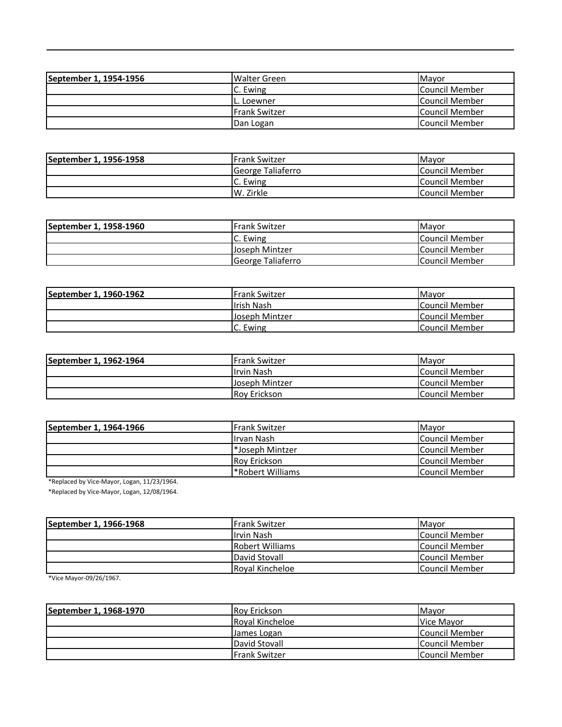| September 1, 1954-1956 | <b>Walter Green</b>  | <b>I</b> Mavor |
|------------------------|----------------------|----------------|
|                        | C. Ewing             | Council Member |
|                        | IL. Loewner          | Council Member |
|                        | <b>Frank Switzer</b> | Council Member |
|                        | Dan Logan            | Council Member |

| September 1, 1956-1958 | lFrank Switzer    | <b>IMavor</b>          |
|------------------------|-------------------|------------------------|
|                        | George Taliaferro | <b>Council Member</b>  |
|                        | C. Ewing          | <b>Council Member</b>  |
|                        | W. Zirkle         | <b>ICouncil Member</b> |

| September 1, 1958-1960 | lFrank Switzer            | <b>I</b> Mavor        |
|------------------------|---------------------------|-----------------------|
|                        | IC. Ewing                 | <b>Council Member</b> |
|                        | Joseph Mintzer            | <b>Council Member</b> |
|                        | <b>IGeorge Taliaferro</b> | <b>Council Member</b> |

| September 1, 1960-1962 | <b>Frank Switzer</b> | <b>I</b> Mavor        |
|------------------------|----------------------|-----------------------|
|                        | lIrish Nash          | <b>Council Member</b> |
|                        | Joseph Mintzer       | Council Member        |
|                        | C. Ewing             | <b>Council Member</b> |

| September 1, 1962-1964 | <b>IFrank Switzer</b> | <b>I</b> Mavor |
|------------------------|-----------------------|----------------|
|                        | Ilrvin Nash           | Council Member |
|                        | Uoseph Mintzer        | Council Member |
|                        | <b>Rov Erickson</b>   | Council Member |

| September 1, 1964-1966 | <b>IFrank Switzer</b>     | <b>I</b> Mavor         |
|------------------------|---------------------------|------------------------|
|                        | IIrvan Nash               | <b>Council Member</b>  |
|                        | Submitter                 | Council Member         |
|                        | <b>Rov Erickson</b>       | <b>Council Member</b>  |
|                        | <b>P</b> *Robert Williams | <b>ICouncil Member</b> |

\*Replaced by Vice-Mayor, Logan, 11/23/1964.

\*Replaced by Vice-Mayor, Logan, 12/08/1964.

| September 1, 1966-1968 | lFrank Switzer         | <b>I</b> Mavor        |
|------------------------|------------------------|-----------------------|
|                        | Ilrvin Nash            | Council Member        |
|                        | <b>Robert Williams</b> | Council Member        |
|                        | David Stovall          | <b>Council Member</b> |
|                        | <b>Roval Kincheloe</b> | Council Member        |

\*Vice Mayor-09/26/1967.

| September 1, 1968-1970 | <b>Rov Erickson</b>  | <b>IMavor</b>  |
|------------------------|----------------------|----------------|
|                        | Royal Kincheloe      | Vice Mavor     |
|                        | James Logan          | Council Member |
|                        | David Stovall        | Council Member |
|                        | <b>Frank Switzer</b> | Council Member |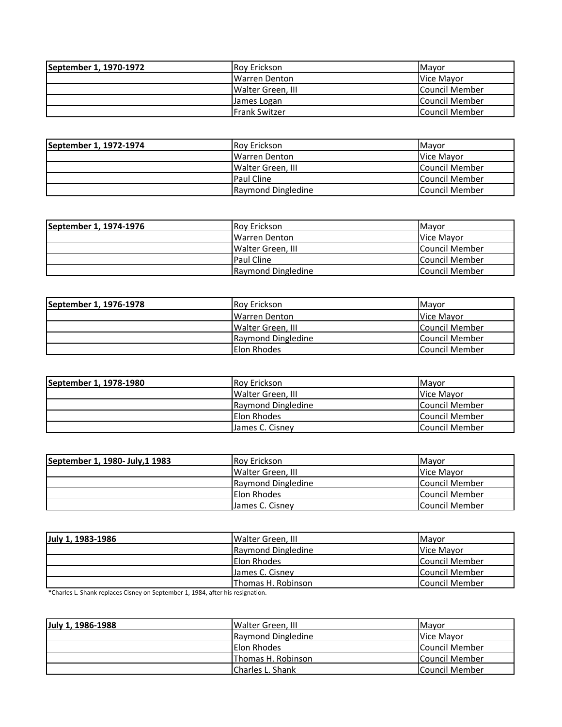| September 1, 1970-1972 | <b>Rov Erickson</b>   | <b>IMavor</b>          |
|------------------------|-----------------------|------------------------|
|                        | <b>IWarren Denton</b> | Vice Mavor             |
|                        | Walter Green, III     | Council Member         |
|                        | James Logan           | <b>ICouncil Member</b> |
|                        | <b>IFrank Switzer</b> | <b>ICouncil Member</b> |

| September 1, 1972-1974 | <b>Roy Erickson</b>   | <b>I</b> Mavor |
|------------------------|-----------------------|----------------|
|                        | <b>IWarren Denton</b> | Vice Mayor     |
|                        | Walter Green, III     | Council Member |
|                        | <b>Paul Cline</b>     | Council Member |
|                        | Raymond Dingledine    | Council Member |

| September 1, 1974-1976 | <b>Rov Erickson</b> | <b>IMavor</b>  |
|------------------------|---------------------|----------------|
|                        | Warren Denton       | Vice Mavor     |
|                        | Walter Green. III   | Council Member |
|                        | <b>Paul Cline</b>   | Council Member |
|                        | Raymond Dingledine  | Council Member |

| September 1, 1976-1978 | <b>Rov Erickson</b>      | <b>IMavor</b>      |
|------------------------|--------------------------|--------------------|
|                        | <b>IWarren Denton</b>    | <b>IVice Mavor</b> |
|                        | <b>Walter Green. III</b> | Council Member     |
|                        | Raymond Dingledine       | Council Member     |
|                        | <b>IElon Rhodes</b>      | Council Member     |

| September 1, 1978-1980 | <b>Rov Erickson</b> | <b>I</b> Mavor |
|------------------------|---------------------|----------------|
|                        | Walter Green. III   | Vice Mavor     |
|                        | Raymond Dingledine  | Council Member |
|                        | <b>Elon Rhodes</b>  | Council Member |
|                        | James C. Cisney     | Council Member |

| September 1, 1980- July, 1 1983 | <b>Roy Erickson</b> | <b>IMavor</b>         |
|---------------------------------|---------------------|-----------------------|
|                                 | Walter Green, III   | Vice Mavor            |
|                                 | Raymond Dingledine  | Council Member        |
|                                 | <b>Elon Rhodes</b>  | <b>Council Member</b> |
|                                 | James C. Cisney     | <b>Council Member</b> |

| July 1, 1983-1986 | Walter Green, III  | <b>I</b> Mavor        |
|-------------------|--------------------|-----------------------|
|                   | Raymond Dingledine | Vice Mavor            |
|                   | <b>Elon Rhodes</b> | Council Member        |
|                   | James C. Cisney    | <b>Council Member</b> |
|                   | Thomas H. Robinson | <b>Council Member</b> |

\*Charles L. Shank replaces Cisney on September 1, 1984, after his resignation.

| July 1, 1986-1988 | Walter Green, III        | <b>I</b> Mavor        |
|-------------------|--------------------------|-----------------------|
|                   | Raymond Dingledine       | Vice Mayor            |
|                   | Elon Rhodes              | Council Member        |
|                   | Thomas H. Robinson       | Council Member        |
|                   | <b>ICharles L. Shank</b> | <b>Council Member</b> |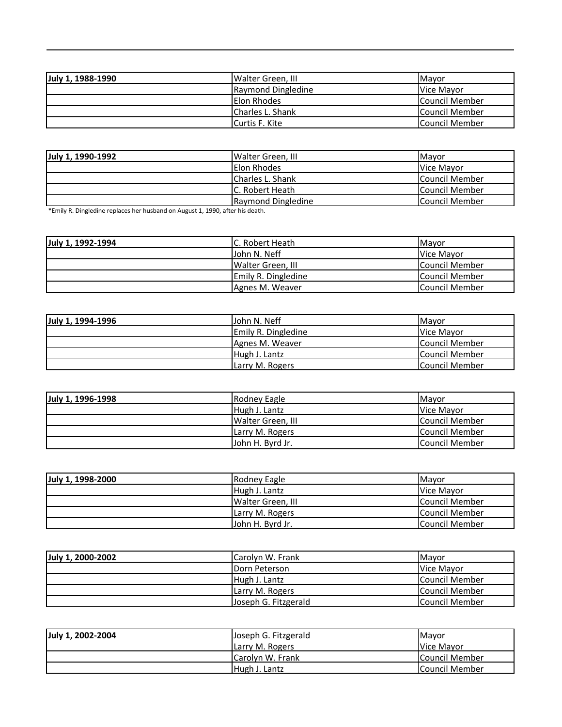| July 1, 1988-1990 | Walter Green, III  | <b>I</b> Mavor        |
|-------------------|--------------------|-----------------------|
|                   | Raymond Dingledine | Vice Mayor            |
|                   | <b>Elon Rhodes</b> | Council Member        |
|                   | Charles L. Shank   | Council Member        |
|                   | Curtis F. Kite     | <b>Council Member</b> |

| July 1, 1990-1992 | Walter Green, III  | <b>IMavor</b>  |
|-------------------|--------------------|----------------|
|                   | <b>Elon Rhodes</b> | Vice Mavor     |
|                   | Charles L. Shank   | Council Member |
|                   | IC. Robert Heath   | Council Member |
|                   | Raymond Dingledine | Council Member |

\*Emily R. Dingledine replaces her husband on August 1, 1990, after his death.

| July 1, 1992-1994 | IC. Robert Heath    | <b>I</b> Mavor        |
|-------------------|---------------------|-----------------------|
|                   | John N. Neff        | Vice Mavor            |
|                   | Walter Green, III   | Council Member        |
|                   | Emily R. Dingledine | <b>Council Member</b> |
|                   | Agnes M. Weaver     | <b>Council Member</b> |

| July 1, 1994-1996 | John N. Neff               | <b>IMavor</b>  |
|-------------------|----------------------------|----------------|
|                   | <b>Emily R. Dingledine</b> | Vice Mayor     |
|                   | Agnes M. Weaver            | Council Member |
|                   | Hugh J. Lantz              | Council Member |
|                   | Larry M. Rogers            | Council Member |

| July 1, 1996-1998 | Rodney Eagle      | <b>IMavor</b>  |
|-------------------|-------------------|----------------|
|                   | Hugh J. Lantz     | Vice Mayor     |
|                   | Walter Green, III | Council Member |
|                   | Larry M. Rogers   | Council Member |
|                   | John H. Byrd Jr.  | Council Member |

| July 1, 1998-2000 | Rodney Eagle      | Mayor                  |
|-------------------|-------------------|------------------------|
|                   | Hugh J. Lantz     | Vice Mavor             |
|                   | Walter Green, III | <b>ICouncil Member</b> |
|                   | Larry M. Rogers   | <b>Council Member</b>  |
|                   | IJohn H. Byrd Jr. | Council Member         |

| July 1, 2000-2002 | Carolyn W. Frank     | <b>I</b> Mavor |
|-------------------|----------------------|----------------|
|                   | Dorn Peterson        | Vice Mayor     |
|                   | Hugh J. Lantz        | Council Member |
|                   | Larry M. Rogers      | Council Member |
|                   | Joseph G. Fitzgerald | Council Member |

| July 1, 2002-2004 | Joseph G. Fitzgerald | <b>I</b> Mavor         |
|-------------------|----------------------|------------------------|
|                   | Larry M. Rogers      | Vice Mavor             |
|                   | lCarolvn W. Frank    | <b>ICouncil Member</b> |
|                   | Hugh J. Lantz        | <b>Council Member</b>  |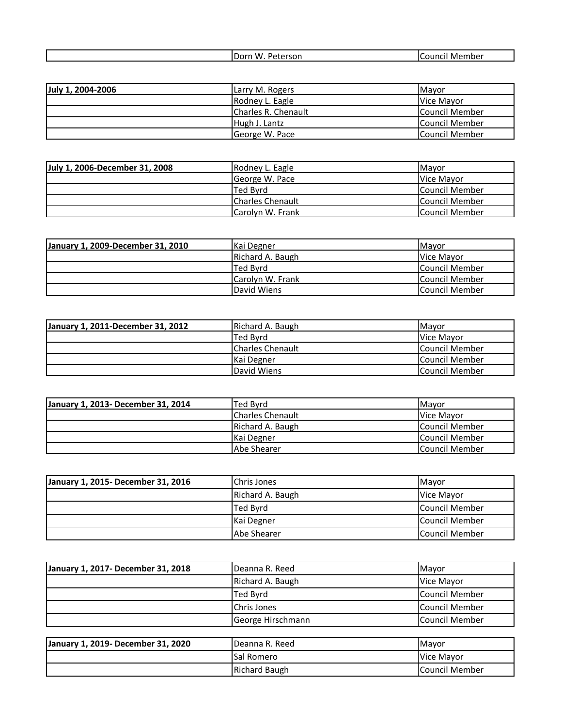|  |  | W.<br>i Dorn<br>יי<br>rson<br><b>VV</b> . | .<br>വഥ<br>Membe. "<br>, |
|--|--|-------------------------------------------|--------------------------|
|--|--|-------------------------------------------|--------------------------|

| July 1, 2004-2006 | Larry M. Rogers     | Mavor                  |
|-------------------|---------------------|------------------------|
|                   | Rodney L. Eagle     | Vice Mavor             |
|                   | Charles R. Chenault | <b>Council Member</b>  |
|                   | Hugh J. Lantz       | <b>ICouncil Member</b> |
|                   | George W. Pace      | <b>Council Member</b>  |

| July 1, 2006-December 31, 2008 | Rodney L. Eagle          | <b>I</b> Mavor |
|--------------------------------|--------------------------|----------------|
|                                | George W. Pace           | Vice Mavor     |
|                                | Ted Bvrd                 | Council Member |
|                                | <b>ICharles Chenault</b> | Council Member |
|                                | Carolyn W. Frank         | Council Member |

| January 1, 2009-December 31, 2010 | <b>Kai Degner</b> | <b>IMavor</b>         |
|-----------------------------------|-------------------|-----------------------|
|                                   | Richard A. Baugh  | Vice Mavor            |
|                                   | Ted Bvrd          | Council Member        |
|                                   | Carolyn W. Frank  | <b>Council Member</b> |
|                                   | David Wiens       | Council Member        |

| January 1, 2011-December 31, 2012 | Richard A. Baugh        | <b>Mavor</b>   |
|-----------------------------------|-------------------------|----------------|
|                                   | Ted Bvrd                | Vice Mayor     |
|                                   | <b>Charles Chenault</b> | Council Member |
|                                   | Kai Degner              | Council Member |
|                                   | David Wiens             | Council Member |

| January 1, 2013- December 31, 2014 | Ted Byrd                | <b>Mavor</b>   |
|------------------------------------|-------------------------|----------------|
|                                    | <b>Charles Chenault</b> | Vice Mavor     |
|                                    | Richard A. Baugh        | Council Member |
|                                    | Kai Degner              | Council Member |
|                                    | Abe Shearer             | Council Member |

| January 1, 2015- December 31, 2016 | Chris Jones      | <b>IMavor</b>  |
|------------------------------------|------------------|----------------|
|                                    | Richard A. Baugh | Vice Mavor     |
|                                    | Ted Byrd         | Council Member |
|                                    | Kai Degner       | Council Member |
|                                    | Abe Shearer      | Council Member |

| January 1, 2017- December 31, 2018 | Deanna R. Reed          | Mayor          |
|------------------------------------|-------------------------|----------------|
|                                    | Richard A. Baugh        | Vice Mayor     |
|                                    | Ted Byrd                | Council Member |
|                                    | Chris Jones             | Council Member |
|                                    | George Hirschmann       | Council Member |
|                                    |                         |                |
| January 1, 2019- December 31, 2020 | <b>I</b> Deanna R. Reed | Mayor          |

| Danuary 1, 2015- December 31, 2020 | TDEAITH N. NEEU | <b>I</b> IVIdVUI |
|------------------------------------|-----------------|------------------|
|                                    | Sal Romero      | Vice Mavor       |
|                                    | Richard Baugh   | lCouncil Member  |